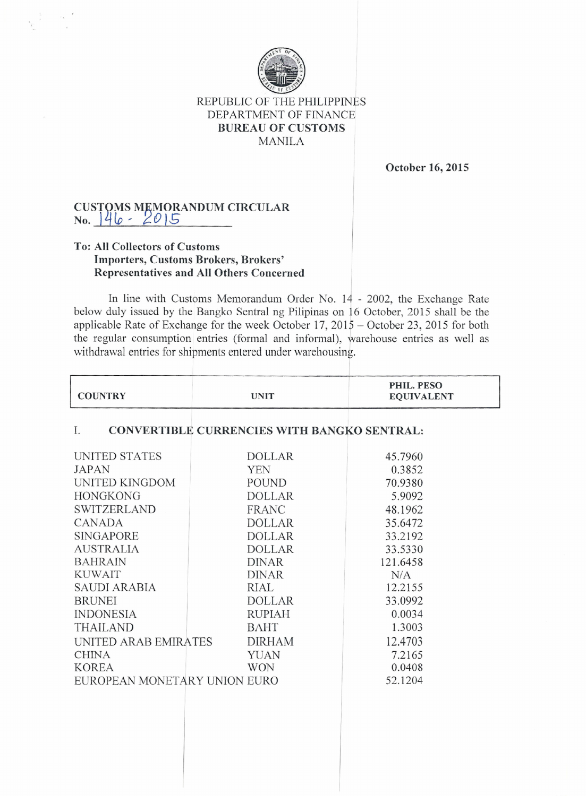

## REPUBLIC OF THE PHILIPPINES DEPARTMENT OF FINANCE **BUREAU OF CUSTOMS** MANILA

**October 16, 2015**

## $\rm CUSTOMS$   $\rm MEMORANDUM$   $\rm CIRCULAI$ **No.** J~Ho' *?O 16*

## **To: All Collectors of Customs Importers, Customs Brokers, Brokers' Representatives and AU Others Concerned**

In line with Customs Memorandum Order No. 14 - 2002, the Exchange Rate below duly issued by the Bangko Sentral ng Pilipinas on 16 October, 2015 shall be the applicable Rate of Exchange for the week October 17, 2015 - October 23, 2015 for both the regular consumption entries (formal and informal), warehouse entries as well as withdrawal entries for shipments entered under warehousing.

| <b>COUNTRY</b>               | <b>UNIT</b>                                        | PHIL. PESO<br><b>EQUIVALENT</b> |
|------------------------------|----------------------------------------------------|---------------------------------|
| I.                           | <b>CONVERTIBLE CURRENCIES WITH BANGKO SENTRAL:</b> |                                 |
| UNITED STATES                | <b>DOLLAR</b>                                      | 45.7960                         |
| JAPAN                        | <b>YEN</b>                                         | 0.3852                          |
| UNITED KINGDOM               | POUND                                              | 70.9380                         |
| <b>HONGKONG</b>              | <b>DOLLAR</b>                                      | 5.9092                          |
| <b>SWITZERLAND</b>           | <b>FRANC</b>                                       | 48.1962                         |
| CANADA                       | <b>DOLLAR</b>                                      | 35.6472                         |
| <b>SINGAPORE</b>             | <b>DOLLAR</b>                                      | 33.2192                         |
| <b>AUSTRALIA</b>             | <b>DOLLAR</b>                                      | 33.5330                         |
| <b>BAHRAIN</b>               | <b>DINAR</b>                                       | 121.6458                        |
| <b>KUWAIT</b>                | <b>DINAR</b>                                       | N/A                             |
| SAUDI ARABIA                 | RIAL                                               | 12.2155                         |
| <b>BRUNEI</b>                | <b>DOLLAR</b>                                      | 33.0992                         |
| <b>INDONESIA</b>             | <b>RUPIAH</b>                                      | 0.0034                          |
| <b>THAILAND</b>              | <b>BAHT</b>                                        | 1.3003                          |
| UNITED ARAB EMIRATES         | <b>DIRHAM</b>                                      | 12.4703                         |
| <b>CHINA</b>                 | YUAN                                               | 7.2165                          |
| <b>KOREA</b>                 | <b>WON</b>                                         | 0.0408                          |
| EUROPEAN MONETARY UNION EURO |                                                    | 52.1204                         |
|                              |                                                    |                                 |